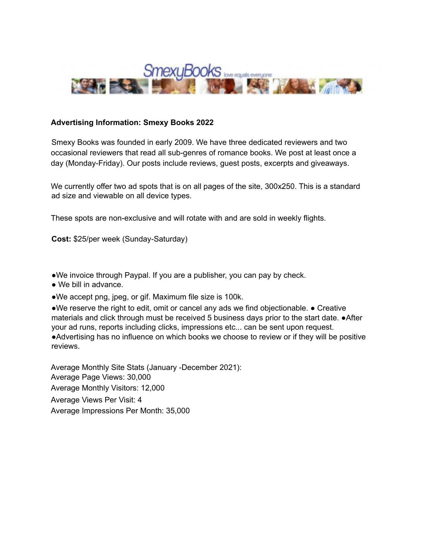

## **Advertising Information: Smexy Books 2022**

Smexy Books was founded in early 2009. We have three dedicated reviewers and two occasional reviewers that read all sub-genres of romance books. We post at least once a day (Monday-Friday). Our posts include reviews, guest posts, excerpts and giveaways.

We currently offer two ad spots that is on all pages of the site, 300x250. This is a standard ad size and viewable on all device types.

These spots are non-exclusive and will rotate with and are sold in weekly flights.

**Cost:** \$25/per week (Sunday-Saturday)

●We invoice through Paypal. If you are a publisher, you can pay by check.

● We bill in advance.

●We accept png, jpeg, or gif. Maximum file size is 100k.

●We reserve the right to edit, omit or cancel any ads we find objectionable. ● Creative materials and click through must be received 5 business days prior to the start date. ●After your ad runs, reports including clicks, impressions etc... can be sent upon request. ●Advertising has no influence on which books we choose to review or if they will be positive reviews.

Average Monthly Site Stats (January -December 2021): Average Page Views: 30,000 Average Monthly Visitors: 12,000 Average Views Per Visit: 4 Average Impressions Per Month: 35,000